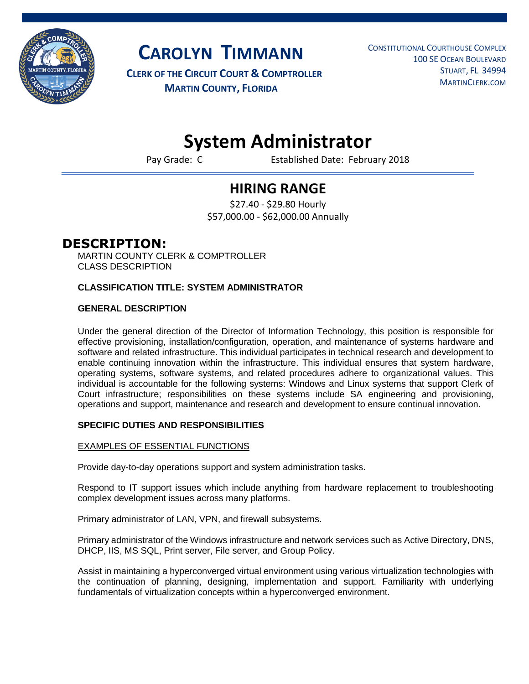

**CAROLYN TIMMANN**

**CLERK OF THE CIRCUIT COURT & COMPTROLLER MARTIN COUNTY, FLORIDA**

 CONSTITUTIONAL COURTHOUSE COMPLEX 100 SE OCEAN BOULEVARD STUART, FL 34994 MARTINCLERK.COM

# **System Administrator**

Pay Grade: C **Established Date: February 2018** 

## **HIRING RANGE**

\$27.40 - \$29.80 Hourly \$57,000.00 - \$62,000.00 Annually

### **DESCRIPTION:**

MARTIN COUNTY CLERK & COMPTROLLER CLASS DESCRIPTION

#### **CLASSIFICATION TITLE: SYSTEM ADMINISTRATOR**

#### **GENERAL DESCRIPTION**

Under the general direction of the Director of Information Technology, this position is responsible for effective provisioning, installation/configuration, operation, and maintenance of systems hardware and software and related infrastructure. This individual participates in technical research and development to enable continuing innovation within the infrastructure. This individual ensures that system hardware, operating systems, software systems, and related procedures adhere to organizational values. This individual is accountable for the following systems: Windows and Linux systems that support Clerk of Court infrastructure; responsibilities on these systems include SA engineering and provisioning, operations and support, maintenance and research and development to ensure continual innovation.

#### **SPECIFIC DUTIES AND RESPONSIBILITIES**

#### EXAMPLES OF ESSENTIAL FUNCTIONS

Provide day-to-day operations support and system administration tasks.

Respond to IT support issues which include anything from hardware replacement to troubleshooting complex development issues across many platforms.

Primary administrator of LAN, VPN, and firewall subsystems.

Primary administrator of the Windows infrastructure and network services such as Active Directory, DNS, DHCP, IIS, MS SQL, Print server, File server, and Group Policy.

Assist in maintaining a hyperconverged virtual environment using various virtualization technologies with the continuation of planning, designing, implementation and support. Familiarity with underlying fundamentals of virtualization concepts within a hyperconverged environment.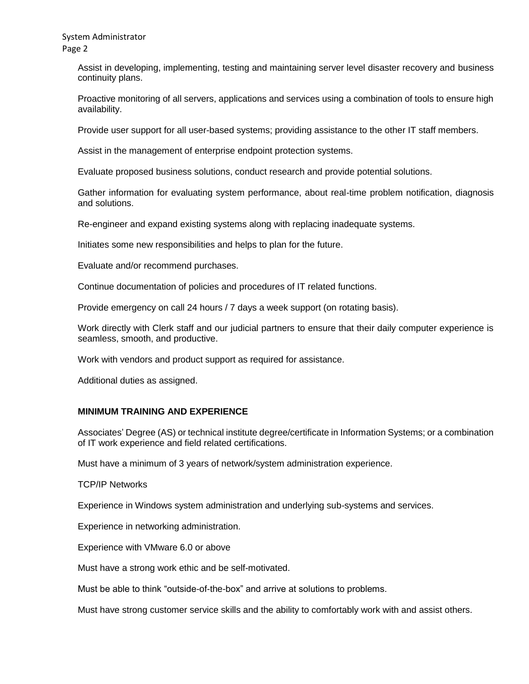System Administrator Page 2

> Assist in developing, implementing, testing and maintaining server level disaster recovery and business continuity plans.

> Proactive monitoring of all servers, applications and services using a combination of tools to ensure high availability.

Provide user support for all user-based systems; providing assistance to the other IT staff members.

Assist in the management of enterprise endpoint protection systems.

Evaluate proposed business solutions, conduct research and provide potential solutions.

Gather information for evaluating system performance, about real-time problem notification, diagnosis and solutions.

Re-engineer and expand existing systems along with replacing inadequate systems.

Initiates some new responsibilities and helps to plan for the future.

Evaluate and/or recommend purchases.

Continue documentation of policies and procedures of IT related functions.

Provide emergency on call 24 hours / 7 days a week support (on rotating basis).

Work directly with Clerk staff and our judicial partners to ensure that their daily computer experience is seamless, smooth, and productive.

Work with vendors and product support as required for assistance.

Additional duties as assigned.

#### **MINIMUM TRAINING AND EXPERIENCE**

Associates' Degree (AS) or technical institute degree/certificate in Information Systems; or a combination of IT work experience and field related certifications.

Must have a minimum of 3 years of network/system administration experience.

TCP/IP Networks

Experience in Windows system administration and underlying sub-systems and services.

Experience in networking administration.

Experience with VMware 6.0 or above

Must have a strong work ethic and be self-motivated.

Must be able to think "outside-of-the-box" and arrive at solutions to problems.

Must have strong customer service skills and the ability to comfortably work with and assist others.